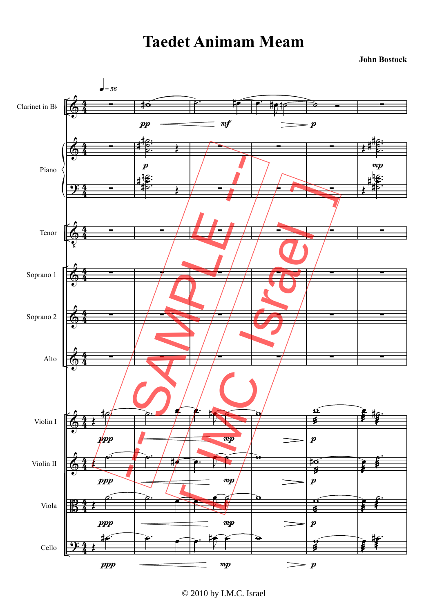## Taedet Animam Meam

John Bostock



<sup>© 2010</sup> by I.M.C. Israel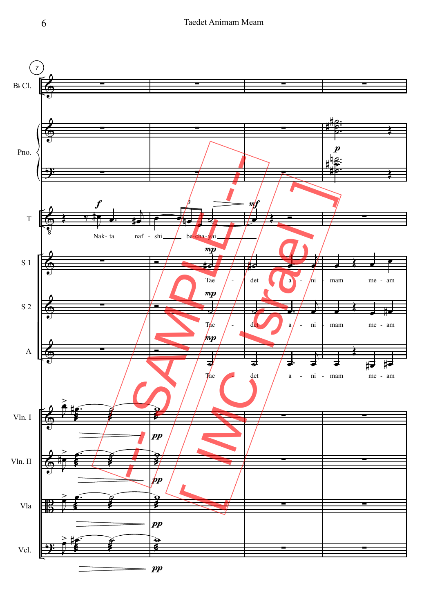